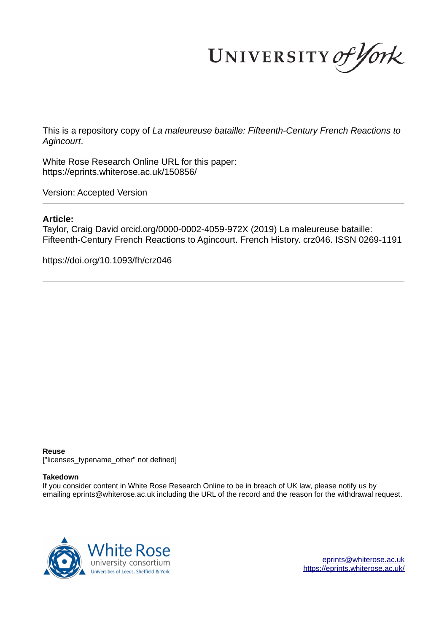UNIVERSITY of York

This is a repository copy of *La maleureuse bataille: Fifteenth-Century French Reactions to Agincourt*.

White Rose Research Online URL for this paper: https://eprints.whiterose.ac.uk/150856/

Version: Accepted Version

# **Article:**

Taylor, Craig David orcid.org/0000-0002-4059-972X (2019) La maleureuse bataille: Fifteenth-Century French Reactions to Agincourt. French History. crz046. ISSN 0269-1191

https://doi.org/10.1093/fh/crz046

### **Reuse**

["licenses\_typename\_other" not defined]

# **Takedown**

If you consider content in White Rose Research Online to be in breach of UK law, please notify us by emailing eprints@whiterose.ac.uk including the URL of the record and the reason for the withdrawal request.



eprints@whiterose.ac.uk https://eprints.whiterose.ac.uk/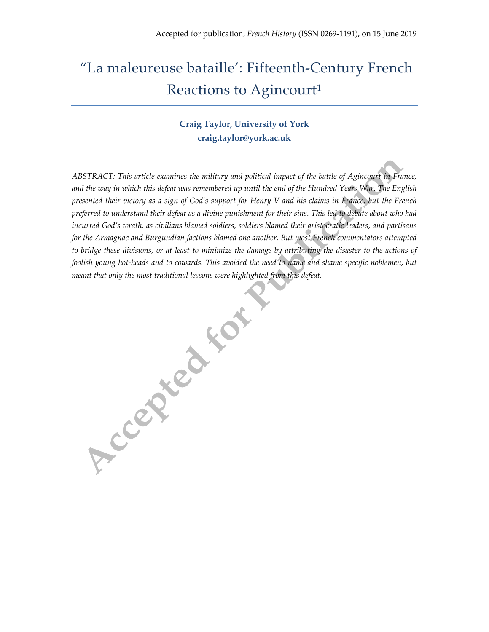# "La maleureuse bataille': Fifteenth-Century French Reactions to Agincourt<sup>1</sup>

# **Craig Taylor, University of York craig.taylor@york.ac.uk**

*ABSTRACT: This article examines the military and political impact of the battle of Agincourt in France, and the way in which this defeat was remembered up until the end of the Hundred Years War. The English presented their victory as a sign of God's support for Henry V and his claims in France, but the French preferred to understand their defeat as a divine punishment for their sins. This led to debate about who had incurred God's wrath, as civilians blamed soldiers, soldiers blamed their aristocratic leaders, and partisans for the Armagnac and Burgundian factions blamed one another. But most French commentators attempted to bridge these divisions, or at least to minimize the damage by attributing the disaster to the actions of foolish young hot-heads and to cowards. This avoided the need to name and shame specific noblemen, but meant that only the most traditional lessons were highlighted from this defeat.*

Accepted to Milestree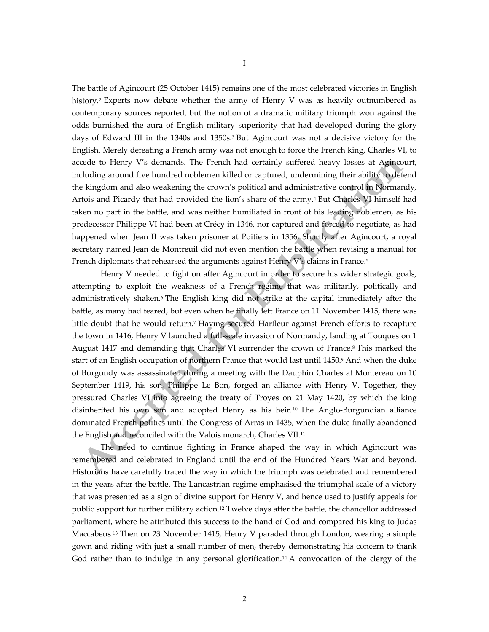The battle of Agincourt (25 October 1415) remains one of the most celebrated victories in English history.<sup>2</sup> Experts now debate whether the army of Henry V was as heavily outnumbered as contemporary sources reported, but the notion of a dramatic military triumph won against the odds burnished the aura of English military superiority that had developed during the glory days of Edward III in the 1340s and 1350s.<sup>3</sup> But Agincourt was not a decisive victory for the English. Merely defeating a French army was not enough to force the French king, Charles VI, to accede to Henry V's demands. The French had certainly suffered heavy losses at Agincourt, including around five hundred noblemen killed or captured, undermining their ability to defend the kingdom and also weakening the crown's political and administrative control in Normandy, Artois and Picardy that had provided the lion's share of the army.<sup>4</sup> But Charles VI himself had taken no part in the battle, and was neither humiliated in front of his leading noblemen, as his predecessor Philippe VI had been at Crécy in 1346, nor captured and forced to negotiate, as had happened when Jean II was taken prisoner at Poitiers in 1356. Shortly after Agincourt, a royal secretary named Jean de Montreuil did not even mention the battle when revising a manual for French diplomats that rehearsed the arguments against Henry V's claims in France. 5

Henry V needed to fight on after Agincourt in order to secure his wider strategic goals, attempting to exploit the weakness of a French regime that was militarily, politically and administratively shaken.<sup>6</sup> The English king did not strike at the capital immediately after the battle, as many had feared, but even when he finally left France on 11 November 1415, there was little doubt that he would return.<sup>7</sup> Having secured Harfleur against French efforts to recapture the town in 1416, Henry V launched a full-scale invasion of Normandy, landing at Touques on 1 August 1417 and demanding that Charles VI surrender the crown of France.<sup>8</sup> This marked the start of an English occupation of northern France that would last until 1450.<sup>9</sup> And when the duke of Burgundy was assassinated during a meeting with the Dauphin Charles at Montereau on 10 September 1419, his son, Philippe Le Bon, forged an alliance with Henry V. Together, they pressured Charles VI into agreeing the treaty of Troyes on 21 May 1420, by which the king disinherited his own son and adopted Henry as his heir. <sup>10</sup> The Anglo-Burgundian alliance dominated French politics until the Congress of Arras in 1435, when the duke finally abandoned the English and reconciled with the Valois monarch, Charles VII.<sup>11</sup>

The need to continue fighting in France shaped the way in which Agincourt was remembered and celebrated in England until the end of the Hundred Years War and beyond. Historians have carefully traced the way in which the triumph was celebrated and remembered in the years after the battle. The Lancastrian regime emphasised the triumphal scale of a victory that was presented as a sign of divine support for Henry V, and hence used to justify appeals for public support for further military action.<sup>12</sup> Twelve days after the battle, the chancellor addressed parliament, where he attributed this success to the hand of God and compared his king to Judas Maccabeus.<sup>13</sup> Then on 23 November 1415, Henry V paraded through London, wearing a simple gown and riding with just a small number of men, thereby demonstrating his concern to thank God rather than to indulge in any personal glorification.<sup>14</sup> A convocation of the clergy of the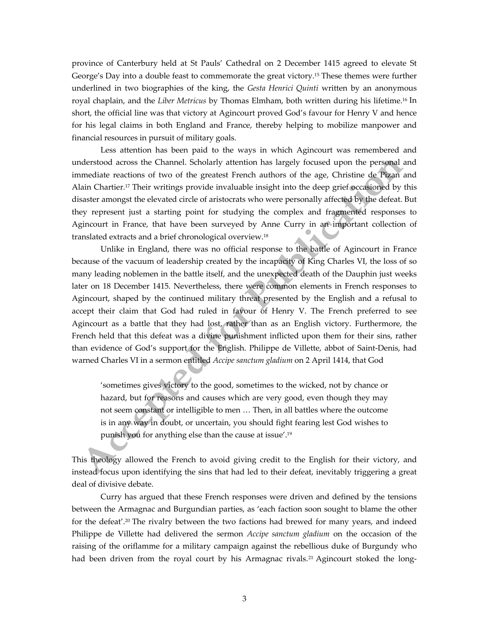province of Canterbury held at St Pauls' Cathedral on 2 December 1415 agreed to elevate St George's Day into a double feast to commemorate the great victory.<sup>15</sup> These themes were further underlined in two biographies of the king, the *Gesta Henrici Quinti* written by an anonymous royal chaplain, and the *Liber Metricus* by Thomas Elmham, both written during his lifetime. <sup>16</sup> In short, the official line was that victory at Agincourt proved God's favour for Henry V and hence for his legal claims in both England and France, thereby helping to mobilize manpower and financial resources in pursuit of military goals.

Less attention has been paid to the ways in which Agincourt was remembered and understood across the Channel. Scholarly attention has largely focused upon the personal and immediate reactions of two of the greatest French authors of the age, Christine de Pizan and Alain Chartier.<sup>17</sup> Their writings provide invaluable insight into the deep grief occasioned by this disaster amongst the elevated circle of aristocrats who were personally affected by the defeat. But they represent just a starting point for studying the complex and fragmented responses to Agincourt in France, that have been surveyed by Anne Curry in an important collection of translated extracts and a brief chronological overview.<sup>18</sup>

Unlike in England, there was no official response to the battle of Agincourt in France because of the vacuum of leadership created by the incapacity of King Charles VI, the loss of so many leading noblemen in the battle itself, and the unexpected death of the Dauphin just weeks later on 18 December 1415. Nevertheless, there were common elements in French responses to Agincourt, shaped by the continued military threat presented by the English and a refusal to accept their claim that God had ruled in favour of Henry V. The French preferred to see Agincourt as a battle that they had lost, rather than as an English victory. Furthermore, the French held that this defeat was a divine punishment inflicted upon them for their sins, rather than evidence of God's support for the English. Philippe de Villette, abbot of Saint-Denis, had warned Charles VI in a sermon entitled *Accipe sanctum gladium* on 2 April 1414, that God

'sometimes gives victory to the good, sometimes to the wicked, not by chance or hazard, but for reasons and causes which are very good, even though they may not seem constant or intelligible to men … Then, in all battles where the outcome is in any way in doubt, or uncertain, you should fight fearing lest God wishes to punish you for anything else than the cause at issue'.<sup>19</sup>

This theology allowed the French to avoid giving credit to the English for their victory, and instead focus upon identifying the sins that had led to their defeat, inevitably triggering a great deal of divisive debate.

Curry has argued that these French responses were driven and defined by the tensions between the Armagnac and Burgundian parties, as 'each faction soon sought to blame the other for the defeat'.<sup>20</sup> The rivalry between the two factions had brewed for many years, and indeed Philippe de Villette had delivered the sermon *Accipe sanctum gladium* on the occasion of the raising of the oriflamme for a military campaign against the rebellious duke of Burgundy who had been driven from the royal court by his Armagnac rivals.<sup>21</sup> Agincourt stoked the long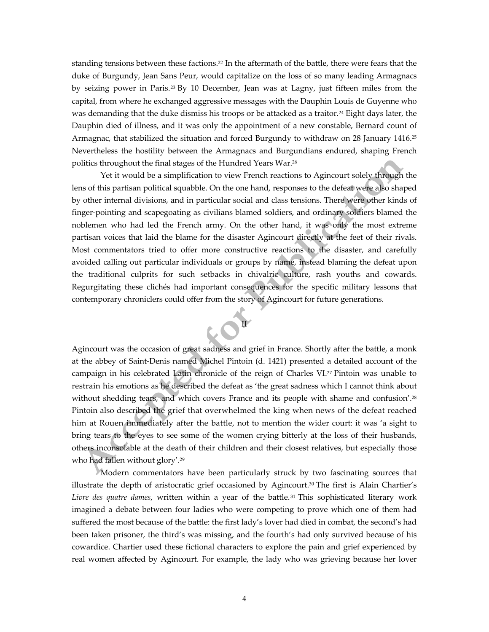standing tensions between these factions.<sup>22</sup> In the aftermath of the battle, there were fears that the duke of Burgundy, Jean Sans Peur, would capitalize on the loss of so many leading Armagnacs by seizing power in Paris. <sup>23</sup> By 10 December, Jean was at Lagny, just fifteen miles from the capital, from where he exchanged aggressive messages with the Dauphin Louis de Guyenne who was demanding that the duke dismiss his troops or be attacked as a traitor.<sup>24</sup> Eight days later, the Dauphin died of illness, and it was only the appointment of a new constable, Bernard count of Armagnac, that stabilized the situation and forced Burgundy to withdraw on 28 January 1416.<sup>25</sup> Nevertheless the hostility between the Armagnacs and Burgundians endured, shaping French politics throughout the final stages of the Hundred Years War.<sup>26</sup>

Yet it would be a simplification to view French reactions to Agincourt solely through the lens of this partisan political squabble. On the one hand, responses to the defeat were also shaped by other internal divisions, and in particular social and class tensions. There were other kinds of finger-pointing and scapegoating as civilians blamed soldiers, and ordinary soldiers blamed the noblemen who had led the French army. On the other hand, it was only the most extreme partisan voices that laid the blame for the disaster Agincourt directly at the feet of their rivals. Most commentators tried to offer more constructive reactions to the disaster, and carefully avoided calling out particular individuals or groups by name, instead blaming the defeat upon the traditional culprits for such setbacks in chivalric culture, rash youths and cowards. Regurgitating these clichés had important consequences for the specific military lessons that contemporary chroniclers could offer from the story of Agincourt for future generations.



Agincourt was the occasion of great sadness and grief in France. Shortly after the battle, a monk at the abbey of Saint-Denis named Michel Pintoin (d. 1421) presented a detailed account of the campaign in his celebrated Latin chronicle of the reign of Charles VI. <sup>27</sup> Pintoin was unable to restrain his emotions as he described the defeat as 'the great sadness which I cannot think about without shedding tears, and which covers France and its people with shame and confusion'.<sup>28</sup> Pintoin also described the grief that overwhelmed the king when news of the defeat reached him at Rouen immediately after the battle, not to mention the wider court: it was 'a sight to bring tears to the eyes to see some of the women crying bitterly at the loss of their husbands, others inconsolable at the death of their children and their closest relatives, but especially those who had fallen without glory'.<sup>29</sup>

Modern commentators have been particularly struck by two fascinating sources that illustrate the depth of aristocratic grief occasioned by Agincourt. <sup>30</sup> The first is Alain Chartier's *Livre des quatre dames*, written within a year of the battle. <sup>31</sup> This sophisticated literary work imagined a debate between four ladies who were competing to prove which one of them had suffered the most because of the battle: the first lady's lover had died in combat, the second's had been taken prisoner, the third's was missing, and the fourth's had only survived because of his cowardice. Chartier used these fictional characters to explore the pain and grief experienced by real women affected by Agincourt. For example, the lady who was grieving because her lover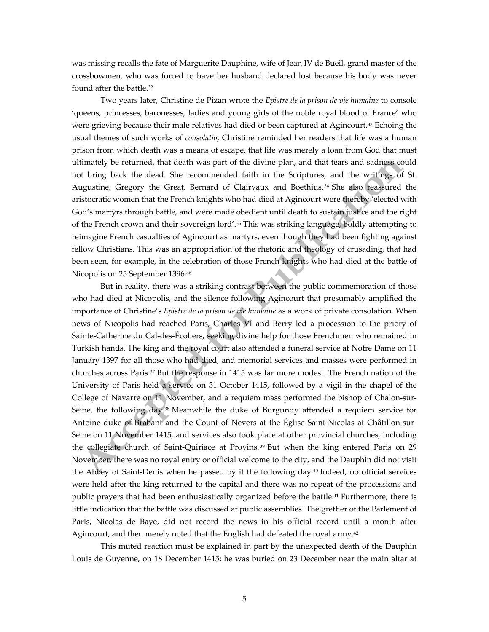was missing recalls the fate of Marguerite Dauphine, wife of Jean IV de Bueil, grand master of the crossbowmen, who was forced to have her husband declared lost because his body was never found after the battle.<sup>32</sup>

Two years later, Christine de Pizan wrote the *Epistre de la prison de vie humaine* to console 'queens, princesses, baronesses, ladies and young girls of the noble royal blood of France' who were grieving because their male relatives had died or been captured at Agincourt.<sup>33</sup> Echoing the usual themes of such works of *consolatio*, Christine reminded her readers that life was a human prison from which death was a means of escape, that life was merely a loan from God that must ultimately be returned, that death was part of the divine plan, and that tears and sadness could not bring back the dead. She recommended faith in the Scriptures, and the writings of St. Augustine, Gregory the Great, Bernard of Clairvaux and Boethius.<sup>34</sup> She also reassured the aristocratic women that the French knights who had died at Agincourt were thereby 'elected with God's martyrs through battle, and were made obedient until death to sustain justice and the right of the French crown and their sovereign lord'.<sup>35</sup> This was striking language, boldly attempting to reimagine French casualties of Agincourt as martyrs, even though they had been fighting against fellow Christians. This was an appropriation of the rhetoric and theology of crusading, that had been seen, for example, in the celebration of those French knights who had died at the battle of Nicopolis on 25 September 1396. 36

But in reality, there was a striking contrast between the public commemoration of those who had died at Nicopolis, and the silence following Agincourt that presumably amplified the importance of Christine's *Epistre de la prison de vie humaine* as a work of private consolation. When news of Nicopolis had reached Paris, Charles VI and Berry led a procession to the priory of Sainte-Catherine du Cal-des-Écoliers, seeking divine help for those Frenchmen who remained in Turkish hands. The king and the royal court also attended a funeral service at Notre Dame on 11 January 1397 for all those who had died, and memorial services and masses were performed in churches across Paris. <sup>37</sup> But the response in 1415 was far more modest. The French nation of the University of Paris held a service on 31 October 1415, followed by a vigil in the chapel of the College of Navarre on 11 November, and a requiem mass performed the bishop of Chalon-sur-Seine, the following day.<sup>38</sup> Meanwhile the duke of Burgundy attended a requiem service for Antoine duke of Brabant and the Count of Nevers at the Église Saint-Nicolas at Châtillon-sur-Seine on 11 November 1415, and services also took place at other provincial churches, including the collegiate church of Saint-Quiriace at Provins. <sup>39</sup> But when the king entered Paris on 29 November, there was no royal entry or official welcome to the city, and the Dauphin did not visit the Abbey of Saint-Denis when he passed by it the following day.<sup>40</sup> Indeed, no official services were held after the king returned to the capital and there was no repeat of the processions and public prayers that had been enthusiastically organized before the battle.<sup>41</sup> Furthermore, there is little indication that the battle was discussed at public assemblies. The greffier of the Parlement of Paris, Nicolas de Baye, did not record the news in his official record until a month after Agincourt, and then merely noted that the English had defeated the royal army.<sup>42</sup>

This muted reaction must be explained in part by the unexpected death of the Dauphin Louis de Guyenne, on 18 December 1415; he was buried on 23 December near the main altar at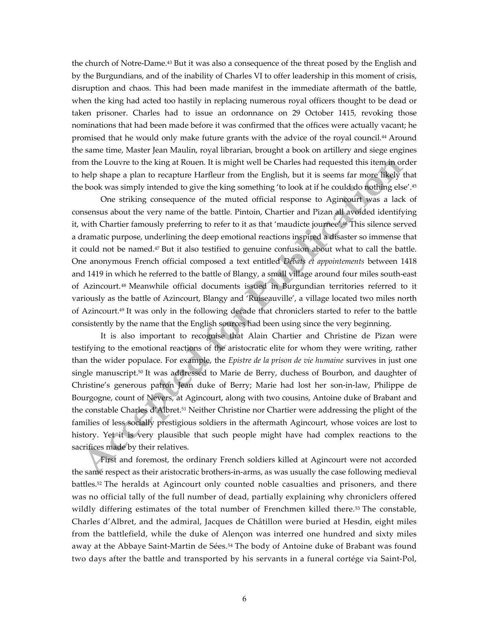the church of Notre-Dame.<sup>43</sup> But it was also a consequence of the threat posed by the English and by the Burgundians, and of the inability of Charles VI to offer leadership in this moment of crisis, disruption and chaos. This had been made manifest in the immediate aftermath of the battle, when the king had acted too hastily in replacing numerous royal officers thought to be dead or taken prisoner. Charles had to issue an ordonnance on 29 October 1415, revoking those nominations that had been made before it was confirmed that the offices were actually vacant; he promised that he would only make future grants with the advice of the royal council.<sup>44</sup> Around the same time, Master Jean Maulin, royal librarian, brought a book on artillery and siege engines from the Louvre to the king at Rouen. It is might well be Charles had requested this item in order to help shape a plan to recapture Harfleur from the English, but it is seems far more likely that the book was simply intended to give the king something 'to look at if he could do nothing else'. 45

One striking consequence of the muted official response to Agincourt was a lack of consensus about the very name of the battle. Pintoin, Chartier and Pizan all avoided identifying it, with Chartier famously preferring to refer to it as that 'maudicte journee'. <sup>46</sup> This silence served a dramatic purpose, underlining the deep emotional reactions inspired a disaster so immense that it could not be named.<sup>47</sup> But it also testified to genuine confusion about what to call the battle. One anonymous French official composed a text entitled *Débats et appointements* between 1418 and 1419 in which he referred to the battle of Blangy, a small village around four miles south-east of Azincourt.<sup>48</sup> Meanwhile official documents issued in Burgundian territories referred to it variously as the battle of Azincourt, Blangy and 'Ruiseauville', a village located two miles north of Azincourt.<sup>49</sup> It was only in the following decade that chroniclers started to refer to the battle consistently by the name that the English sources had been using since the very beginning.

It is also important to recognise that Alain Chartier and Christine de Pizan were testifying to the emotional reactions of the aristocratic elite for whom they were writing, rather than the wider populace. For example, the *Epistre de la prison de vie humaine* survives in just one single manuscript.<sup>50</sup> It was addressed to Marie de Berry, duchess of Bourbon, and daughter of Christine's generous patron Jean duke of Berry; Marie had lost her son-in-law, Philippe de Bourgogne, count of Nevers, at Agincourt, along with two cousins, Antoine duke of Brabant and the constable Charles d'Albret.<sup>51</sup> Neither Christine nor Chartier were addressing the plight of the families of less socially prestigious soldiers in the aftermath Agincourt, whose voices are lost to history. Yet it is very plausible that such people might have had complex reactions to the sacrifices made by their relatives.

First and foremost, the ordinary French soldiers killed at Agincourt were not accorded the same respect as their aristocratic brothers-in-arms, as was usually the case following medieval battles. <sup>52</sup> The heralds at Agincourt only counted noble casualties and prisoners, and there was no official tally of the full number of dead, partially explaining why chroniclers offered wildly differing estimates of the total number of Frenchmen killed there. <sup>53</sup> The constable, Charles d'Albret, and the admiral, Jacques de Châtillon were buried at Hesdin, eight miles from the battlefield, while the duke of Alençon was interred one hundred and sixty miles away at the Abbaye Saint-Martin de Sées.<sup>54</sup> The body of Antoine duke of Brabant was found two days after the battle and transported by his servants in a funeral cortége via Saint-Pol,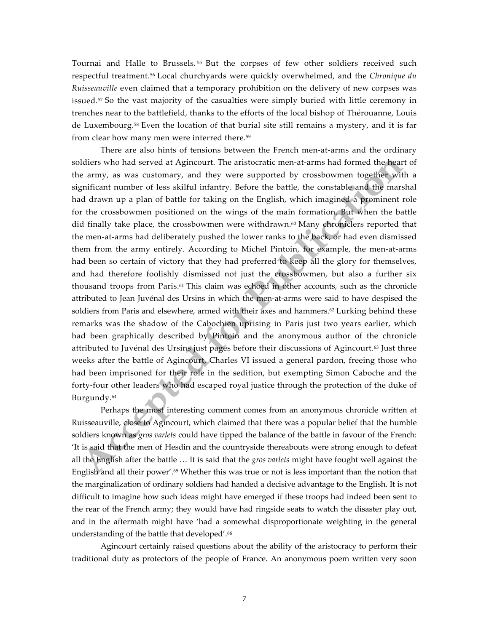Tournai and Halle to Brussels. <sup>55</sup> But the corpses of few other soldiers received such respectful treatment.<sup>56</sup> Local churchyards were quickly overwhelmed, and the *Chronique du Ruisseauville* even claimed that a temporary prohibition on the delivery of new corpses was issued.<sup>57</sup> So the vast majority of the casualties were simply buried with little ceremony in trenches near to the battlefield, thanks to the efforts of the local bishop of Thérouanne, Louis de Luxembourg. <sup>58</sup> Even the location of that burial site still remains a mystery, and it is far from clear how many men were interred there. 59

There are also hints of tensions between the French men-at-arms and the ordinary soldiers who had served at Agincourt. The aristocratic men-at-arms had formed the heart of the army, as was customary, and they were supported by crossbowmen together with a significant number of less skilful infantry. Before the battle, the constable and the marshal had drawn up a plan of battle for taking on the English, which imagined a prominent role for the crossbowmen positioned on the wings of the main formation. But when the battle did finally take place, the crossbowmen were withdrawn.<sup>60</sup> Many chroniclers reported that the men-at-arms had deliberately pushed the lower ranks to the back, or had even dismissed them from the army entirely. According to Michel Pintoin, for example, the men-at-arms had been so certain of victory that they had preferred to keep all the glory for themselves, and had therefore foolishly dismissed not just the crossbowmen, but also a further six thousand troops from Paris.<sup>61</sup> This claim was echoed in other accounts, such as the chronicle attributed to Jean Juvénal des Ursins in which the men-at-arms were said to have despised the soldiers from Paris and elsewhere, armed with their axes and hammers.<sup>62</sup> Lurking behind these remarks was the shadow of the Cabochien uprising in Paris just two years earlier, which had been graphically described by Pintoin and the anonymous author of the chronicle attributed to Juvénal des Ursins just pages before their discussions of Agincourt.<sup>63</sup> Just three weeks after the battle of Agincourt, Charles VI issued a general pardon, freeing those who had been imprisoned for their role in the sedition, but exempting Simon Caboche and the forty-four other leaders who had escaped royal justice through the protection of the duke of Burgundy.<sup>64</sup>

Perhaps the most interesting comment comes from an anonymous chronicle written at Ruisseauville, close to Agincourt, which claimed that there was a popular belief that the humble soldiers known as *gros varlets* could have tipped the balance of the battle in favour of the French: 'It is said that the men of Hesdin and the countryside thereabouts were strong enough to defeat all the English after the battle … It is said that the *gros varlets* might have fought well against the English and all their power'.<sup>65</sup> Whether this was true or not is less important than the notion that the marginalization of ordinary soldiers had handed a decisive advantage to the English. It is not difficult to imagine how such ideas might have emerged if these troops had indeed been sent to the rear of the French army; they would have had ringside seats to watch the disaster play out, and in the aftermath might have 'had a somewhat disproportionate weighting in the general understanding of the battle that developed'.<sup>66</sup>

Agincourt certainly raised questions about the ability of the aristocracy to perform their traditional duty as protectors of the people of France. An anonymous poem written very soon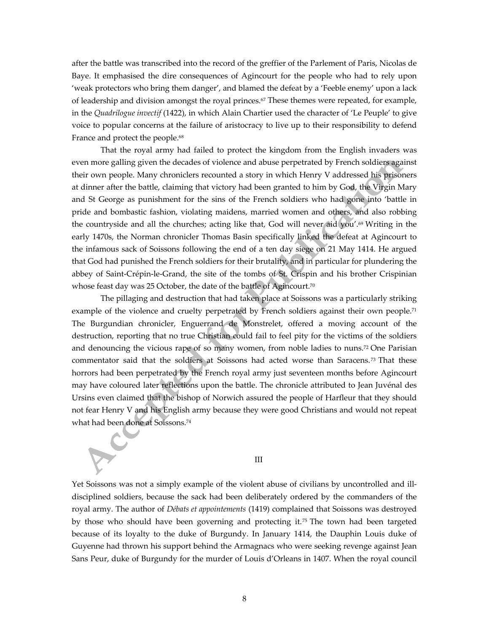after the battle was transcribed into the record of the greffier of the Parlement of Paris, Nicolas de Baye. It emphasised the dire consequences of Agincourt for the people who had to rely upon 'weak protectors who bring them danger', and blamed the defeat by a 'Feeble enemy' upon a lack of leadership and division amongst the royal princes.<sup>67</sup> These themes were repeated, for example, in the *Quadrilogue invectif* (1422), in which Alain Chartier used the character of 'Le Peuple' to give voice to popular concerns at the failure of aristocracy to live up to their responsibility to defend France and protect the people. 68

That the royal army had failed to protect the kingdom from the English invaders was even more galling given the decades of violence and abuse perpetrated by French soldiers against their own people. Many chroniclers recounted a story in which Henry V addressed his prisoners at dinner after the battle, claiming that victory had been granted to him by God, the Virgin Mary and St George as punishment for the sins of the French soldiers who had gone into 'battle in pride and bombastic fashion, violating maidens, married women and others, and also robbing the countryside and all the churches; acting like that, God will never aid you'.<sup>69</sup> Writing in the early 1470s, the Norman chronicler Thomas Basin specifically linked the defeat at Agincourt to the infamous sack of Soissons following the end of a ten day siege on 21 May 1414. He argued that God had punished the French soldiers for their brutality, and in particular for plundering the abbey of Saint-Crépin-le-Grand, the site of the tombs of St. Crispin and his brother Crispinian whose feast day was 25 October, the date of the battle of Agincourt.<sup>70</sup>

The pillaging and destruction that had taken place at Soissons was a particularly striking example of the violence and cruelty perpetrated by French soldiers against their own people.<sup>71</sup> The Burgundian chronicler, Enguerrand de Monstrelet, offered a moving account of the destruction, reporting that no true Christian could fail to feel pity for the victims of the soldiers and denouncing the vicious rape of so many women, from noble ladies to nuns.<sup>72</sup> One Parisian commentator said that the soldiers at Soissons had acted worse than Saracens.<sup>73</sup> That these horrors had been perpetrated by the French royal army just seventeen months before Agincourt may have coloured later reflections upon the battle. The chronicle attributed to Jean Juvénal des Ursins even claimed that the bishop of Norwich assured the people of Harfleur that they should not fear Henry V and his English army because they were good Christians and would not repeat what had been done at Soissons.<sup>74</sup>

#### III

Yet Soissons was not a simply example of the violent abuse of civilians by uncontrolled and illdisciplined soldiers, because the sack had been deliberately ordered by the commanders of the royal army. The author of *Débats et appointements* (1419) complained that Soissons was destroyed by those who should have been governing and protecting it.<sup>75</sup> The town had been targeted because of its loyalty to the duke of Burgundy. In January 1414, the Dauphin Louis duke of Guyenne had thrown his support behind the Armagnacs who were seeking revenge against Jean Sans Peur, duke of Burgundy for the murder of Louis d'Orleans in 1407. When the royal council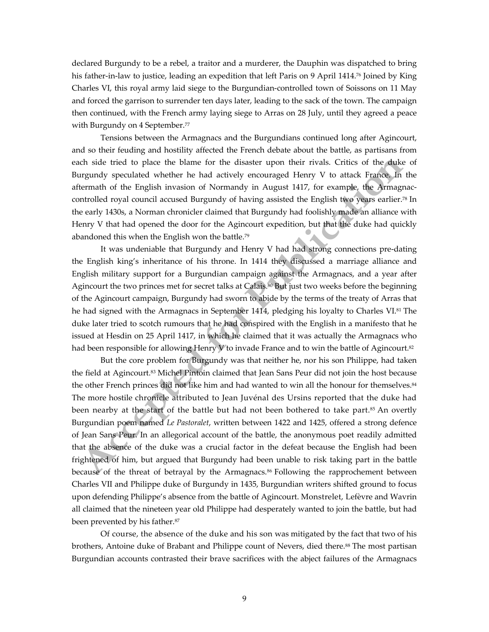declared Burgundy to be a rebel, a traitor and a murderer, the Dauphin was dispatched to bring his father-in-law to justice, leading an expedition that left Paris on 9 April 1414.<sup>76</sup> Joined by King Charles VI, this royal army laid siege to the Burgundian-controlled town of Soissons on 11 May and forced the garrison to surrender ten days later, leading to the sack of the town. The campaign then continued, with the French army laying siege to Arras on 28 July, until they agreed a peace with Burgundy on 4 September.<sup>77</sup>

Tensions between the Armagnacs and the Burgundians continued long after Agincourt, and so their feuding and hostility affected the French debate about the battle, as partisans from each side tried to place the blame for the disaster upon their rivals. Critics of the duke of Burgundy speculated whether he had actively encouraged Henry V to attack France. In the aftermath of the English invasion of Normandy in August 1417, for example, the Armagnaccontrolled royal council accused Burgundy of having assisted the English two years earlier. <sup>78</sup> In the early 1430s, a Norman chronicler claimed that Burgundy had foolishly made an alliance with Henry V that had opened the door for the Agincourt expedition, but that the duke had quickly abandoned this when the English won the battle.<sup>79</sup>

It was undeniable that Burgundy and Henry V had had strong connections pre-dating the English king's inheritance of his throne. In 1414 they discussed a marriage alliance and English military support for a Burgundian campaign against the Armagnacs, and a year after Agincourt the two princes met for secret talks at Calais. <sup>80</sup> But just two weeks before the beginning of the Agincourt campaign, Burgundy had sworn to abide by the terms of the treaty of Arras that he had signed with the Armagnacs in September 1414, pledging his loyalty to Charles VI.<sup>81</sup> The duke later tried to scotch rumours that he had conspired with the English in a manifesto that he issued at Hesdin on 25 April 1417, in which he claimed that it was actually the Armagnacs who had been responsible for allowing Henry V to invade France and to win the battle of Agincourt.<sup>82</sup>

But the core problem for Burgundy was that neither he, nor his son Philippe, had taken the field at Agincourt.<sup>83</sup> Michel Pintoin claimed that Jean Sans Peur did not join the host because the other French princes did not like him and had wanted to win all the honour for themselves.<sup>84</sup> The more hostile chronicle attributed to Jean Juvénal des Ursins reported that the duke had been nearby at the start of the battle but had not been bothered to take part.85 An overtly Burgundian poem named *Le Pastoralet*, written between 1422 and 1425, offered a strong defence of Jean Sans Peur. In an allegorical account of the battle, the anonymous poet readily admitted that the absence of the duke was a crucial factor in the defeat because the English had been frightened of him, but argued that Burgundy had been unable to risk taking part in the battle because of the threat of betrayal by the Armagnacs.<sup>86</sup> Following the rapprochement between Charles VII and Philippe duke of Burgundy in 1435, Burgundian writers shifted ground to focus upon defending Philippe's absence from the battle of Agincourt. Monstrelet, Lefèvre and Wavrin all claimed that the nineteen year old Philippe had desperately wanted to join the battle, but had been prevented by his father.<sup>87</sup>

Of course, the absence of the duke and his son was mitigated by the fact that two of his brothers, Antoine duke of Brabant and Philippe count of Nevers, died there.<sup>88</sup> The most partisan Burgundian accounts contrasted their brave sacrifices with the abject failures of the Armagnacs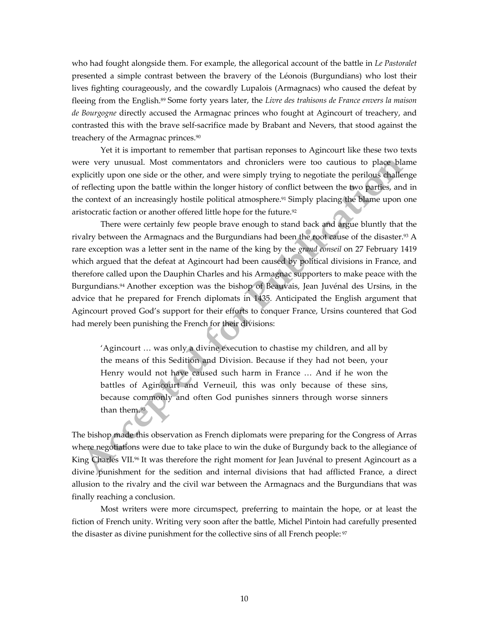who had fought alongside them. For example, the allegorical account of the battle in *Le Pastoralet* presented a simple contrast between the bravery of the Léonois (Burgundians) who lost their lives fighting courageously, and the cowardly Lupalois (Armagnacs) who caused the defeat by fleeing from the English. <sup>89</sup> Some forty years later, the *Livre des trahisons de France envers la maison de Bourgogne* directly accused the Armagnac princes who fought at Agincourt of treachery, and contrasted this with the brave self-sacrifice made by Brabant and Nevers, that stood against the treachery of the Armagnac princes.<sup>90</sup>

Yet it is important to remember that partisan reponses to Agincourt like these two texts were very unusual. Most commentators and chroniclers were too cautious to place blame explicitly upon one side or the other, and were simply trying to negotiate the perilous challenge of reflecting upon the battle within the longer history of conflict between the two parties, and in the context of an increasingly hostile political atmosphere.<sup>91</sup> Simply placing the blame upon one aristocratic faction or another offered little hope for the future.<sup>92</sup>

There were certainly few people brave enough to stand back and argue bluntly that the rivalry between the Armagnacs and the Burgundians had been the root cause of the disaster. <sup>93</sup> A rare exception was a letter sent in the name of the king by the *grand conseil* on 27 February 1419 which argued that the defeat at Agincourt had been caused by political divisions in France, and therefore called upon the Dauphin Charles and his Armagnac supporters to make peace with the Burgundians. <sup>94</sup> Another exception was the bishop of Beauvais, Jean Juvénal des Ursins, in the advice that he prepared for French diplomats in 1435. Anticipated the English argument that Agincourt proved God's support for their efforts to conquer France, Ursins countered that God had merely been punishing the French for their divisions:

'Agincourt … was only a divine execution to chastise my children, and all by the means of this Sedition and Division. Because if they had not been, your Henry would not have caused such harm in France … And if he won the battles of Agincourt and Verneuil, this was only because of these sins, because commonly and often God punishes sinners through worse sinners than them.<sup>95</sup>

The bishop made this observation as French diplomats were preparing for the Congress of Arras where negotiations were due to take place to win the duke of Burgundy back to the allegiance of King Charles VII.<sup>96</sup> It was therefore the right moment for Jean Juvénal to present Agincourt as a divine punishment for the sedition and internal divisions that had afflicted France, a direct allusion to the rivalry and the civil war between the Armagnacs and the Burgundians that was finally reaching a conclusion.

Most writers were more circumspect, preferring to maintain the hope, or at least the fiction of French unity. Writing very soon after the battle, Michel Pintoin had carefully presented the disaster as divine punishment for the collective sins of all French people: 97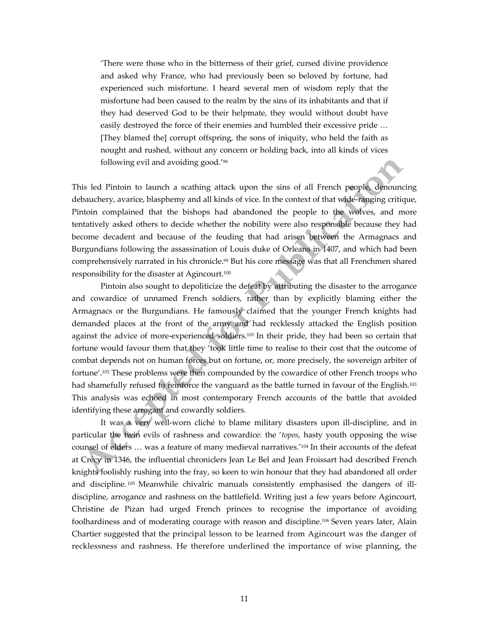'There were those who in the bitterness of their grief, cursed divine providence and asked why France, who had previously been so beloved by fortune, had experienced such misfortune. I heard several men of wisdom reply that the misfortune had been caused to the realm by the sins of its inhabitants and that if they had deserved God to be their helpmate, they would without doubt have easily destroyed the force of their enemies and humbled their excessive pride … [They blamed the] corrupt offspring, the sons of iniquity, who held the faith as nought and rushed, without any concern or holding back, into all kinds of vices following evil and avoiding good.'<sup>98</sup>

This led Pintoin to launch a scathing attack upon the sins of all French people, denouncing debauchery, avarice, blasphemy and all kinds of vice. In the context of that wide-ranging critique, Pintoin complained that the bishops had abandoned the people to the wolves, and more tentatively asked others to decide whether the nobility were also responsible because they had become decadent and because of the feuding that had arisen between the Armagnacs and Burgundians following the assassination of Louis duke of Orleans in 1407, and which had been comprehensively narrated in his chronicle. <sup>99</sup> But his core message was that all Frenchmen shared responsibility for the disaster at Agincourt.<sup>100</sup>

 Pintoin also sought to depoliticize the defeat by attributing the disaster to the arrogance and cowardice of unnamed French soldiers, rather than by explicitly blaming either the Armagnacs or the Burgundians. He famously claimed that the younger French knights had demanded places at the front of the army and had recklessly attacked the English position against the advice of more-experienced soldiers.<sup>101</sup> In their pride, they had been so certain that fortune would favour them that they 'took little time to realise to their cost that the outcome of combat depends not on human forces but on fortune, or, more precisely, the sovereign arbiter of fortune'.102 These problems were then compounded by the cowardice of other French troops who had shamefully refused to reinforce the vanguard as the battle turned in favour of the English.<sup>103</sup> This analysis was echoed in most contemporary French accounts of the battle that avoided identifying these arrogant and cowardly soldiers.

It was a very well-worn cliché to blame military disasters upon ill-discipline, and in particular the twin evils of rashness and cowardice: the '*topos*, hasty youth opposing the wise counsel of elders … was a feature of many medieval narratives.'<sup>104</sup> In their accounts of the defeat at Crécy in 1346, the influential chroniclers Jean Le Bel and Jean Froissart had described French knights foolishly rushing into the fray, so keen to win honour that they had abandoned all order and discipline. <sup>105</sup> Meanwhile chivalric manuals consistently emphasised the dangers of illdiscipline, arrogance and rashness on the battlefield. Writing just a few years before Agincourt, Christine de Pizan had urged French princes to recognise the importance of avoiding foolhardiness and of moderating courage with reason and discipline.<sup>106</sup> Seven years later, Alain Chartier suggested that the principal lesson to be learned from Agincourt was the danger of recklessness and rashness. He therefore underlined the importance of wise planning, the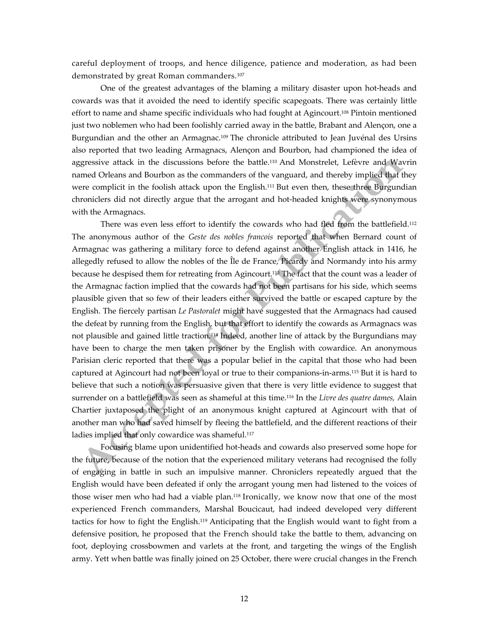careful deployment of troops, and hence diligence, patience and moderation, as had been demonstrated by great Roman commanders.<sup>107</sup>

One of the greatest advantages of the blaming a military disaster upon hot-heads and cowards was that it avoided the need to identify specific scapegoats. There was certainly little effort to name and shame specific individuals who had fought at Agincourt.<sup>108</sup> Pintoin mentioned just two noblemen who had been foolishly carried away in the battle, Brabant and Alençon, one a Burgundian and the other an Armagnac.<sup>109</sup> The chronicle attributed to Jean Juvénal des Ursins also reported that two leading Armagnacs, Alençon and Bourbon, had championed the idea of aggressive attack in the discussions before the battle.<sup>110</sup> And Monstrelet, Lefèvre and Wavrin named Orleans and Bourbon as the commanders of the vanguard, and thereby implied that they were complicit in the foolish attack upon the English.<sup>111</sup> But even then, these three Burgundian chroniclers did not directly argue that the arrogant and hot-headed knights were synonymous with the Armagnacs.

There was even less effort to identify the cowards who had fled from the battlefield.<sup>112</sup> The anonymous author of the *Geste des nobles francois* reported that when Bernard count of Armagnac was gathering a military force to defend against another English attack in 1416, he allegedly refused to allow the nobles of the Île de France, Picardy and Normandy into his army because he despised them for retreating from Agincourt.<sup>113</sup> The fact that the count was a leader of the Armagnac faction implied that the cowards had not been partisans for his side, which seems plausible given that so few of their leaders either survived the battle or escaped capture by the English. The fiercely partisan *Le Pastoralet* might have suggested that the Armagnacs had caused the defeat by running from the English, but that effort to identify the cowards as Armagnacs was not plausible and gained little traction.<sup>114</sup> Indeed, another line of attack by the Burgundians may have been to charge the men taken prisoner by the English with cowardice. An anonymous Parisian cleric reported that there was a popular belief in the capital that those who had been captured at Agincourt had not been loyal or true to their companions-in-arms.<sup>115</sup> But it is hard to believe that such a notion was persuasive given that there is very little evidence to suggest that surrender on a battlefield was seen as shameful at this time.<sup>116</sup> In the *Livre des quatre dames,* Alain Chartier juxtaposed the plight of an anonymous knight captured at Agincourt with that of another man who had saved himself by fleeing the battlefield, and the different reactions of their ladies implied that only cowardice was shameful.<sup>117</sup>

Focusing blame upon unidentified hot-heads and cowards also preserved some hope for the future, because of the notion that the experienced military veterans had recognised the folly of engaging in battle in such an impulsive manner. Chroniclers repeatedly argued that the English would have been defeated if only the arrogant young men had listened to the voices of those wiser men who had had a viable plan.<sup>118</sup> Ironically, we know now that one of the most experienced French commanders, Marshal Boucicaut, had indeed developed very different tactics for how to fight the English. <sup>119</sup> Anticipating that the English would want to fight from a defensive position, he proposed that the French should take the battle to them, advancing on foot, deploying crossbowmen and varlets at the front, and targeting the wings of the English army. Yett when battle was finally joined on 25 October, there were crucial changes in the French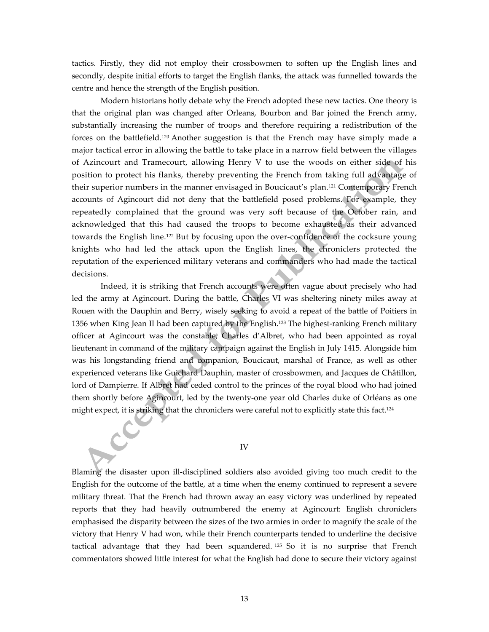tactics. Firstly, they did not employ their crossbowmen to soften up the English lines and secondly, despite initial efforts to target the English flanks, the attack was funnelled towards the centre and hence the strength of the English position.

Modern historians hotly debate why the French adopted these new tactics. One theory is that the original plan was changed after Orleans, Bourbon and Bar joined the French army, substantially increasing the number of troops and therefore requiring a redistribution of the forces on the battlefield.<sup>120</sup> Another suggestion is that the French may have simply made a major tactical error in allowing the battle to take place in a narrow field between the villages of Azincourt and Tramecourt, allowing Henry V to use the woods on either side of his position to protect his flanks, thereby preventing the French from taking full advantage of their superior numbers in the manner envisaged in Boucicaut's plan.<sup>121</sup> Contemporary French accounts of Agincourt did not deny that the battlefield posed problems. For example, they repeatedly complained that the ground was very soft because of the October rain, and acknowledged that this had caused the troops to become exhausted as their advanced towards the English line.<sup>122</sup> But by focusing upon the over-confidence of the cocksure young knights who had led the attack upon the English lines, the chroniclers protected the reputation of the experienced military veterans and commanders who had made the tactical decisions.

Indeed, it is striking that French accounts were often vague about precisely who had led the army at Agincourt. During the battle, Charles VI was sheltering ninety miles away at Rouen with the Dauphin and Berry, wisely seeking to avoid a repeat of the battle of Poitiers in 1356 when King Jean II had been captured by the English.<sup>123</sup> The highest-ranking French military officer at Agincourt was the constable, Charles d'Albret, who had been appointed as royal lieutenant in command of the military campaign against the English in July 1415. Alongside him was his longstanding friend and companion, Boucicaut, marshal of France, as well as other experienced veterans like Guichard Dauphin, master of crossbowmen, and Jacques de Châtillon, lord of Dampierre. If Albret had ceded control to the princes of the royal blood who had joined them shortly before Agincourt, led by the twenty-one year old Charles duke of Orléans as one might expect, it is striking that the chroniclers were careful not to explicitly state this fact.<sup>124</sup>

## IV

Blaming the disaster upon ill-disciplined soldiers also avoided giving too much credit to the English for the outcome of the battle, at a time when the enemy continued to represent a severe military threat. That the French had thrown away an easy victory was underlined by repeated reports that they had heavily outnumbered the enemy at Agincourt: English chroniclers emphasised the disparity between the sizes of the two armies in order to magnify the scale of the victory that Henry V had won, while their French counterparts tended to underline the decisive tactical advantage that they had been squandered. <sup>125</sup> So it is no surprise that French commentators showed little interest for what the English had done to secure their victory against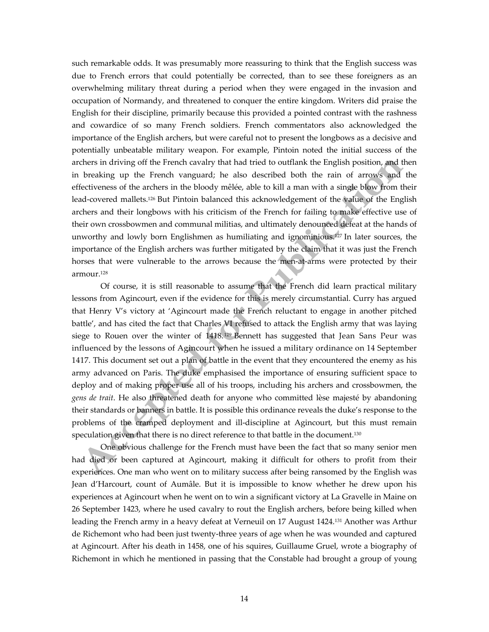such remarkable odds. It was presumably more reassuring to think that the English success was due to French errors that could potentially be corrected, than to see these foreigners as an overwhelming military threat during a period when they were engaged in the invasion and occupation of Normandy, and threatened to conquer the entire kingdom. Writers did praise the English for their discipline, primarily because this provided a pointed contrast with the rashness and cowardice of so many French soldiers. French commentators also acknowledged the importance of the English archers, but were careful not to present the longbows as a decisive and potentially unbeatable military weapon. For example, Pintoin noted the initial success of the archers in driving off the French cavalry that had tried to outflank the English position, and then in breaking up the French vanguard; he also described both the rain of arrows and the effectiveness of the archers in the bloody mêlée, able to kill a man with a single blow from their lead-covered mallets.<sup>126</sup> But Pintoin balanced this acknowledgement of the value of the English archers and their longbows with his criticism of the French for failing to make effective use of their own crossbowmen and communal militias, and ultimately denounced defeat at the hands of unworthy and lowly born Englishmen as humiliating and ignominious. <sup>127</sup> In later sources, the importance of the English archers was further mitigated by the claim that it was just the French horses that were vulnerable to the arrows because the men-at-arms were protected by their armour.<sup>128</sup>

Of course, it is still reasonable to assume that the French did learn practical military lessons from Agincourt, even if the evidence for this is merely circumstantial. Curry has argued that Henry V's victory at 'Agincourt made the French reluctant to engage in another pitched battle', and has cited the fact that Charles VI refused to attack the English army that was laying siege to Rouen over the winter of  $1418$ ,  $129$  Bennett has suggested that Jean Sans Peur was influenced by the lessons of Agincourt when he issued a military ordinance on 14 September 1417. This document set out a plan of battle in the event that they encountered the enemy as his army advanced on Paris. The duke emphasised the importance of ensuring sufficient space to deploy and of making proper use all of his troops, including his archers and crossbowmen, the *gens de trait*. He also threatened death for anyone who committed lèse majesté by abandoning their standards or banners in battle. It is possible this ordinance reveals the duke's response to the problems of the cramped deployment and ill-discipline at Agincourt, but this must remain speculation given that there is no direct reference to that battle in the document.<sup>130</sup>

One obvious challenge for the French must have been the fact that so many senior men had died or been captured at Agincourt, making it difficult for others to profit from their experiences. One man who went on to military success after being ransomed by the English was Jean d'Harcourt, count of Aumâle. But it is impossible to know whether he drew upon his experiences at Agincourt when he went on to win a significant victory at La Gravelle in Maine on 26 September 1423, where he used cavalry to rout the English archers, before being killed when leading the French army in a heavy defeat at Verneuil on 17 August 1424.<sup>131</sup> Another was Arthur de Richemont who had been just twenty-three years of age when he was wounded and captured at Agincourt. After his death in 1458, one of his squires, Guillaume Gruel, wrote a biography of Richemont in which he mentioned in passing that the Constable had brought a group of young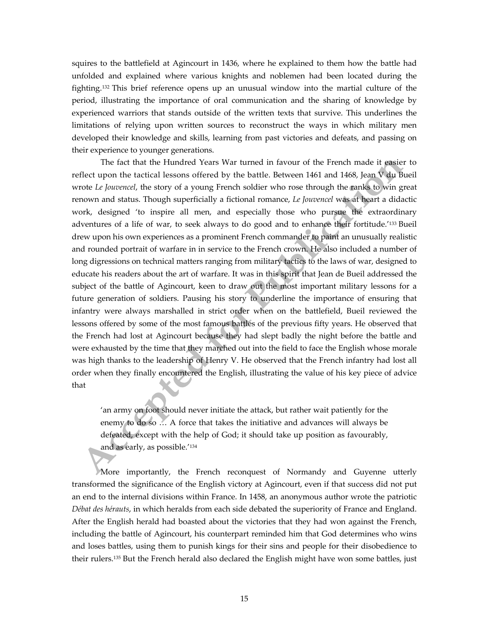squires to the battlefield at Agincourt in 1436, where he explained to them how the battle had unfolded and explained where various knights and noblemen had been located during the fighting. <sup>132</sup> This brief reference opens up an unusual window into the martial culture of the period, illustrating the importance of oral communication and the sharing of knowledge by experienced warriors that stands outside of the written texts that survive. This underlines the limitations of relying upon written sources to reconstruct the ways in which military men developed their knowledge and skills, learning from past victories and defeats, and passing on their experience to younger generations.

The fact that the Hundred Years War turned in favour of the French made it easier to reflect upon the tactical lessons offered by the battle. Between 1461 and 1468, Jean V du Bueil wrote *Le Jouvencel*, the story of a young French soldier who rose through the ranks to win great renown and status. Though superficially a fictional romance, *Le Jouvencel* was at heart a didactic work, designed 'to inspire all men, and especially those who pursue the extraordinary adventures of a life of war, to seek always to do good and to enhance their fortitude.'<sup>133</sup> Bueil drew upon his own experiences as a prominent French commander to paint an unusually realistic and rounded portrait of warfare in in service to the French crown. He also included a number of long digressions on technical matters ranging from military tactics to the laws of war, designed to educate his readers about the art of warfare. It was in this spirit that Jean de Bueil addressed the subject of the battle of Agincourt, keen to draw out the most important military lessons for a future generation of soldiers. Pausing his story to underline the importance of ensuring that infantry were always marshalled in strict order when on the battlefield, Bueil reviewed the lessons offered by some of the most famous battles of the previous fifty years. He observed that the French had lost at Agincourt because they had slept badly the night before the battle and were exhausted by the time that they marched out into the field to face the English whose morale was high thanks to the leadership of Henry V. He observed that the French infantry had lost all order when they finally encountered the English, illustrating the value of his key piece of advice that

'an army on foot should never initiate the attack, but rather wait patiently for the enemy to do so … A force that takes the initiative and advances will always be defeated, except with the help of God; it should take up position as favourably, and as early, as possible.'<sup>134</sup>

More importantly, the French reconquest of Normandy and Guyenne utterly transformed the significance of the English victory at Agincourt, even if that success did not put an end to the internal divisions within France. In 1458, an anonymous author wrote the patriotic *Débat des hérauts*, in which heralds from each side debated the superiority of France and England. After the English herald had boasted about the victories that they had won against the French, including the battle of Agincourt, his counterpart reminded him that God determines who wins and loses battles, using them to punish kings for their sins and people for their disobedience to their rulers.<sup>135</sup> But the French herald also declared the English might have won some battles, just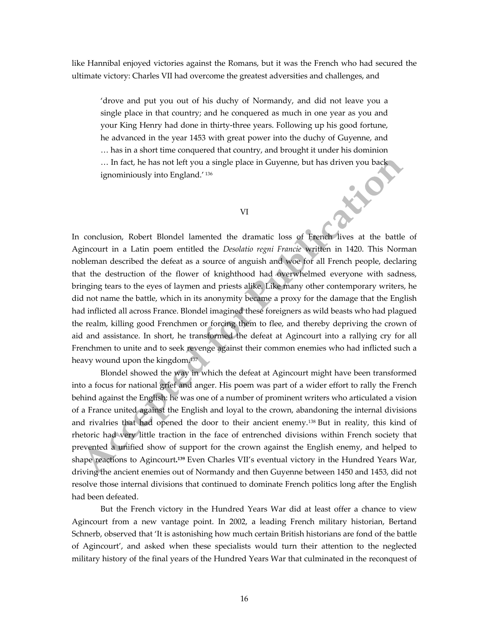like Hannibal enjoyed victories against the Romans, but it was the French who had secured the ultimate victory: Charles VII had overcome the greatest adversities and challenges, and

'drove and put you out of his duchy of Normandy, and did not leave you a single place in that country; and he conquered as much in one year as you and your King Henry had done in thirty-three years. Following up his good fortune, he advanced in the year 1453 with great power into the duchy of Guyenne, and … has in a short time conquered that country, and brought it under his dominion … In fact, he has not left you a single place in Guyenne, but has driven you back ignominiously into England.' 136 END

VI

In conclusion, Robert Blondel lamented the dramatic loss of French lives at the battle of Agincourt in a Latin poem entitled the *Desolatio regni Francie* written in 1420. This Norman nobleman described the defeat as a source of anguish and woe for all French people, declaring that the destruction of the flower of knighthood had overwhelmed everyone with sadness, bringing tears to the eyes of laymen and priests alike. Like many other contemporary writers, he did not name the battle, which in its anonymity became a proxy for the damage that the English had inflicted all across France. Blondel imagined these foreigners as wild beasts who had plagued the realm, killing good Frenchmen or forcing them to flee, and thereby depriving the crown of aid and assistance. In short, he transformed the defeat at Agincourt into a rallying cry for all Frenchmen to unite and to seek revenge against their common enemies who had inflicted such a heavy wound upon the kingdom.<sup>137</sup>

Blondel showed the way in which the defeat at Agincourt might have been transformed into a focus for national grief and anger. His poem was part of a wider effort to rally the French behind against the English: he was one of a number of prominent writers who articulated a vision of a France united against the English and loyal to the crown, abandoning the internal divisions and rivalries that had opened the door to their ancient enemy.<sup>138</sup> But in reality, this kind of rhetoric had very little traction in the face of entrenched divisions within French society that prevented a unified show of support for the crown against the English enemy, and helped to shape reactions to Agincourt**. <sup>139</sup>** Even Charles VII's eventual victory in the Hundred Years War, driving the ancient enemies out of Normandy and then Guyenne between 1450 and 1453, did not resolve those internal divisions that continued to dominate French politics long after the English had been defeated.

But the French victory in the Hundred Years War did at least offer a chance to view Agincourt from a new vantage point. In 2002, a leading French military historian, Bertand Schnerb, observed that 'It is astonishing how much certain British historians are fond of the battle of Agincourt', and asked when these specialists would turn their attention to the neglected military history of the final years of the Hundred Years War that culminated in the reconquest of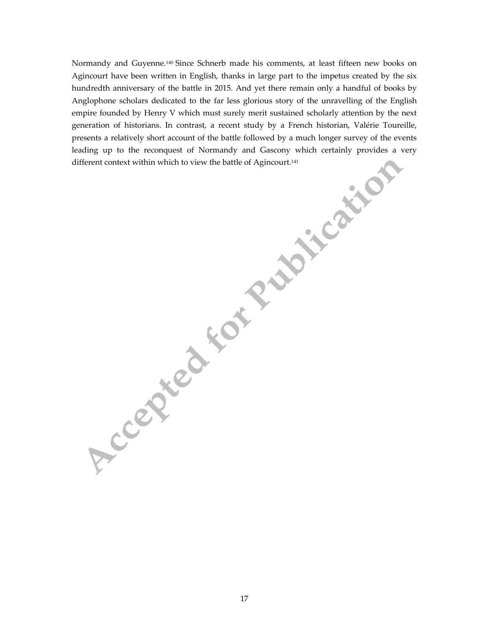Normandy and Guyenne. <sup>140</sup> Since Schnerb made his comments, at least fifteen new books on Agincourt have been written in English, thanks in large part to the impetus created by the six hundredth anniversary of the battle in 2015. And yet there remain only a handful of books by Anglophone scholars dedicated to the far less glorious story of the unravelling of the English empire founded by Henry V which must surely merit sustained scholarly attention by the next generation of historians. In contrast, a recent study by a French historian, Valérie Toureille, presents a relatively short account of the battle followed by a much longer survey of the events leading up to the reconquest of Normandy and Gascony which certainly provides a very different context within which to view the battle of Agincourt.<sup>141</sup>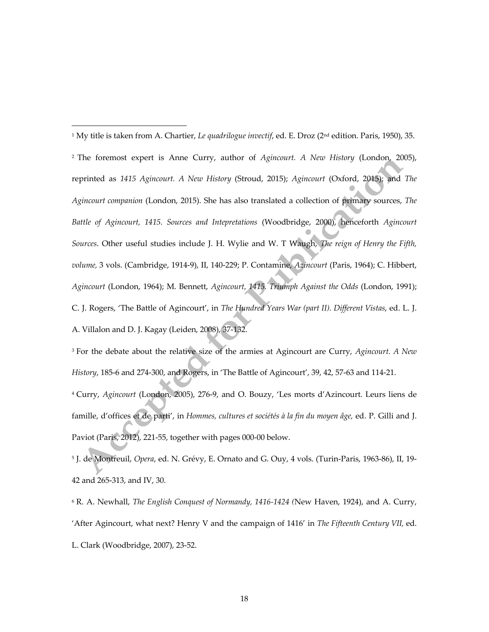<sup>1</sup> My title is taken from A. Chartier, *Le quadrilogue invectif*, ed. E. Droz (2<sup>nd</sup> edition. Paris, 1950), 35. <sup>2</sup> The foremost expert is Anne Curry, author of *Agincourt. A New History* (London, 2005), reprinted as *1415 Agincourt. A New History* (Stroud, 2015); *Agincourt* (Oxford, 2015); and *The Agincourt companion* (London, 2015). She has also translated a collection of primary sources, *The Battle of Agincourt, 1415. Sources and Intepretations* (Woodbridge, 2000), henceforth *Agincourt Sources*. Other useful studies include J. H. Wylie and W. T Waugh, *The reign of Henry the Fifth, volume,* 3 vols. (Cambridge, 1914-9), II, 140-229; P. Contamine, *Azincourt* (Paris, 1964); C. Hibbert, *Agincourt* (London, 1964); M. Bennett, *Agincourt, 1415. Triumph Against the Odds* (London, 1991); C. J. Rogers, 'The Battle of Agincourt', in *The Hundred Years War (part II). Different Vistas*, ed. L. J. A. Villalon and D. J. Kagay (Leiden, 2008), 37-132.

 $\overline{a}$ 

<sup>3</sup> For the debate about the relative size of the armies at Agincourt are Curry, *Agincourt. A New History*, 185-6 and 274-300, and Rogers, in 'The Battle of Agincourt', 39, 42, 57-63 and 114-21. <sup>4</sup> Curry, *Agincourt* (London, 2005), 276-9, and O. Bouzy, 'Les morts d'Azincourt. Leurs liens de famille, d'offices et de parti', in *Hommes, cultures et sociétés à la fin du moyen âge,* ed. P. Gilli and J. Paviot (Paris, 2012), 221-55, together with pages 000-00 below.

<sup>5</sup> J. de Montreuil, *Opera*, ed. N. Grévy, E. Ornato and G. Ouy, 4 vols. (Turin-Paris, 1963-86), II, 19- 42 and 265-313, and IV, 30.

<sup>6</sup> R. A. Newhall, *The English Conquest of Normandy, 1416-1424 (*New Haven, 1924), and A. Curry, 'After Agincourt, what next? Henry V and the campaign of 1416' in *The Fifteenth Century VII,* ed. L. Clark (Woodbridge, 2007), 23-52.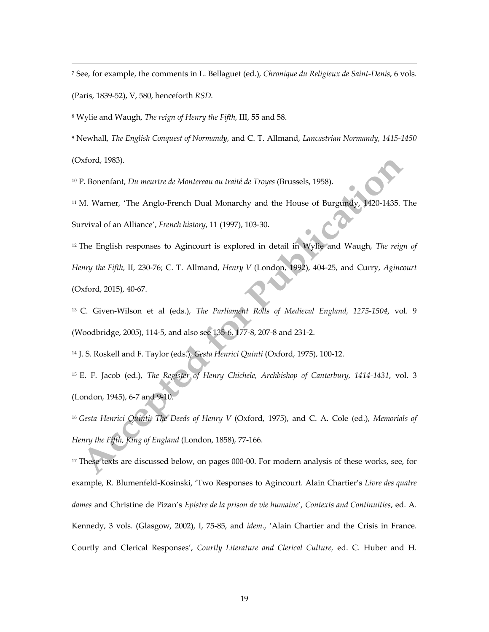<sup>7</sup> See, for example, the comments in L. Bellaguet (ed.), *Chronique du Religieux de Saint-Denis*, 6 vols. (Paris, 1839-52), V, 580, henceforth *RSD.*

<sup>8</sup> Wylie and Waugh, *The reign of Henry the Fifth,* III, 55 and 58.

 $\overline{a}$ 

<sup>9</sup> Newhall, *The English Conquest of Normandy,* and C. T. Allmand, *Lancastrian Normandy, 1415-1450* (Oxford, 1983).

<sup>10</sup> P. Bonenfant, *Du meurtre de Montereau au traité de Troyes* (Brussels, 1958).

<sup>11</sup> M. Warner, 'The Anglo-French Dual Monarchy and the House of Burgundy, 1420-1435. The Survival of an Alliance', *French history*, 11 (1997), 103-30.

<sup>12</sup> The English responses to Agincourt is explored in detail in Wylie and Waugh, *The reign of Henry the Fifth,* II, 230-76; C. T. Allmand, *Henry V* (London, 1992), 404-25, and Curry, *Agincourt* (Oxford, 2015), 40-67.

<sup>13</sup> C. Given-Wilson et al (eds.), *The Parliament Rolls of Medieval England, 1275-1504*, vol. 9 (Woodbridge, 2005), 114-5, and also see 135-6, 177-8, 207-8 and 231-2.

<sup>14</sup> J. S. Roskell and F. Taylor (eds.), *Gesta Henrici Quinti* (Oxford, 1975), 100-12.

<sup>15</sup> E. F. Jacob (ed.), *The Register of Henry Chichele, Archbishop of Canterbury, 1414-1431*, vol. 3 (London, 1945), 6-7 and 9-10.

<sup>16</sup> *Gesta Henrici Quinti. The Deeds of Henry V* (Oxford, 1975), and C. A. Cole (ed.), *Memorials of Henry the Fifth, King of England* (London, 1858), 77-166.

<sup>17</sup> These texts are discussed below, on pages 000-00. For modern analysis of these works, see, for example, R. Blumenfeld-Kosinski, 'Two Responses to Agincourt. Alain Chartier's *Livre des quatre dames* and Christine de Pizan's *Epistre de la prison de vie humaine*', *Contexts and Continuities*, ed. A. Kennedy, 3 vols. (Glasgow, 2002), I, 75-85, and *idem*., 'Alain Chartier and the Crisis in France. Courtly and Clerical Responses', *Courtly Literature and Clerical Culture,* ed. C. Huber and H.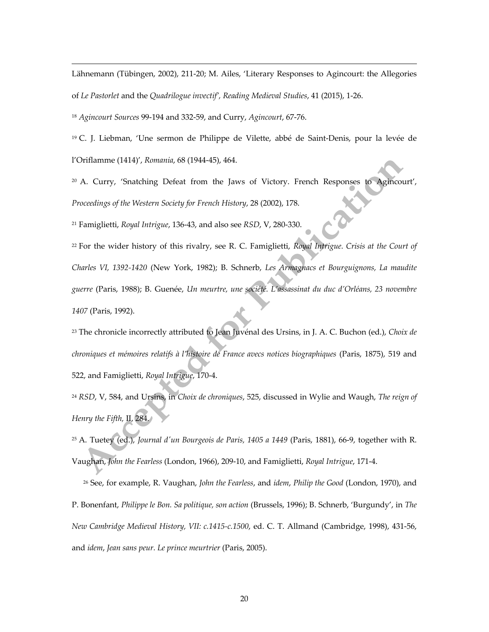Lähnemann (Tübingen, 2002), 211-20; M. Ailes, 'Literary Responses to Agincourt: the Allegories of *Le Pastorlet* and the *Quadrilogue invectif', Reading Medieval Studies*, 41 (2015), 1-26.

<sup>18</sup> *Agincourt Sources* 99-194 and 332-59, and Curry, *Agincourt*, 67-76.

 $\overline{a}$ 

<sup>19</sup> C. J. Liebman, 'Une sermon de Philippe de Vilette, abbé de Saint-Denis, pour la levée de l'Oriflamme (1414)', *Romania*, 68 (1944-45), 464.

<sup>20</sup> A. Curry, 'Snatching Defeat from the Jaws of Victory. French Responses to Agincourt', *Proceedings of the Western Society for French History*, 28 (2002), 178.

<sup>21</sup> Famiglietti, *Royal Intrigue*, 136-43, and also see *RSD*, V, 280-330.

<sup>22</sup> For the wider history of this rivalry, see R. C. Famiglietti, *Royal Intrigue. Crisis at the Court of Charles VI, 1392-1420* (New York, 1982); B. Schnerb, *Les Armagnacs et Bourguignons, La maudite guerre* (Paris, 1988); B. Guenée, *Un meurtre, une société. L'assassinat du duc d'Orléans, 23 novembre 1407* (Paris, 1992).

<sup>23</sup> The chronicle incorrectly attributed to Jean Juvénal des Ursins, in J. A. C. Buchon (ed.), *Choix de chroniques et mémoires relatifs à l'histoire de France avecs notices biographiques* (Paris, 1875), 519 and 522, and Famiglietti, *Royal Intrigue*, 170-4.

<sup>24</sup> *RSD*, V, 584, and Ursins, in *Choix de chroniques*, 525, discussed in Wylie and Waugh, *The reign of Henry the Fifth,* II, 284.

<sup>25</sup> A. Tuetey (ed.), *Journal d'un Bourgeois de Paris, 1405 a 1449* (Paris, 1881), 66-9, together with R. Vaughan, *John the Fearless* (London, 1966), 209-10, and Famiglietti, *Royal Intrigue*, 171-4.

<sup>26</sup> See, for example, R. Vaughan, *John the Fearless*, and *idem*, *Philip the Good* (London, 1970), and P. Bonenfant, *Philippe le Bon. Sa politique, son action* (Brussels, 1996); B. Schnerb, 'Burgundy', in *The New Cambridge Medieval History, VII: c.1415-c.1500*, ed. C. T. Allmand (Cambridge, 1998), 431-56, and *idem*, *Jean sans peur. Le prince meurtrier* (Paris, 2005).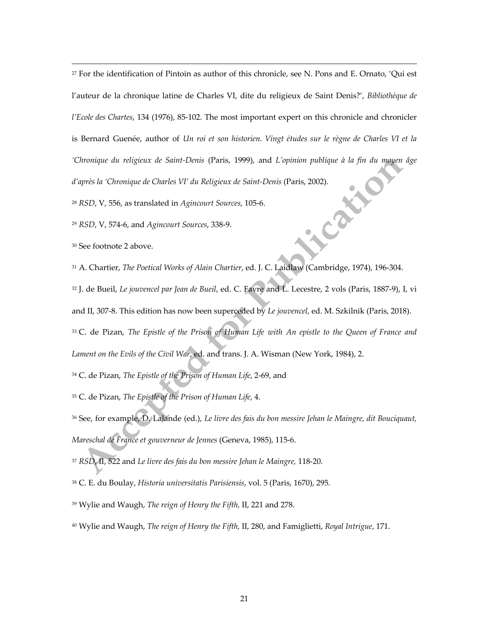For the identification of Pintoin as author of this chronicle, see N. Pons and E. Ornato, 'Qui est l'auteur de la chronique latine de Charles VI, dite du religieux de Saint Denis?', *Bibliothèque de l'Ecole des Chartes*, 134 (1976), 85-102. The most important expert on this chronicle and chronicler is Bernard Guenée, author of *Un roi et son historien. Vingt études sur le règne de Charles VI et la 'Chronique du religieux de Saint-Denis* (Paris, 1999), and *L'opinion publique à la fin du moyen âge d'après la 'Chronique de Charles VI' du Religieux de Saint-Denis (Paris, 2002).*<br><sup>28</sup> RSD, V, 556, as translated in *Agi d'après la 'Chronique de Charles VI' du Religieux de Saint-Denis* (Paris, 2002).

*RSD*, V, 556, as translated in *Agincourt Sources*, 105-6.

*RSD*, V, 574-6, and *Agincourt Sources*, 338-9.

See footnote 2 above.

 $\overline{a}$ 

A. Chartier, *The Poetical Works of Alain Chartier*, ed. J. C. Laidlaw (Cambridge, 1974), 196-304.

J. de Bueil, *Le jouvencel par Jean de Bueil*, ed. C. Favre and L. Lecestre, 2 vols (Paris, 1887-9), I, vi

and II, 307-8. This edition has now been superceded by *Le jouvencel*, ed. M. Szkilnik (Paris, 2018).

 C. de Pizan, *The Epistle of the Prison of Human Life with An epistle to the Queen of France and Lament on the Evils of the Civil War*, ed. and trans. J. A. Wisman (New York, 1984), 2.

C. de Pizan, *The Epistle of the Prison of Human Life*, 2-69, and

C. de Pizan, *The Epistle of the Prison of Human Life*, 4.

 See, for example, D. Lalande (ed.), *Le livre des fais du bon messire Jehan le Maingre, dit Bouciquaut, Mareschal de France et gouverneur de Jennes* (Geneva, 1985), 115-6.

*RSD*, II, 522 and *Le livre des fais du bon messire Jehan le Maingre,* 118-20.

C. E. du Boulay, *Historia universitatis Parisiensis*, vol. 5 (Paris, 1670), 295.

- Wylie and Waugh, *The reign of Henry the Fifth,* II, 221 and 278.
- Wylie and Waugh, *The reign of Henry the Fifth,* II, 280, and Famiglietti, *Royal Intrigue*, 171.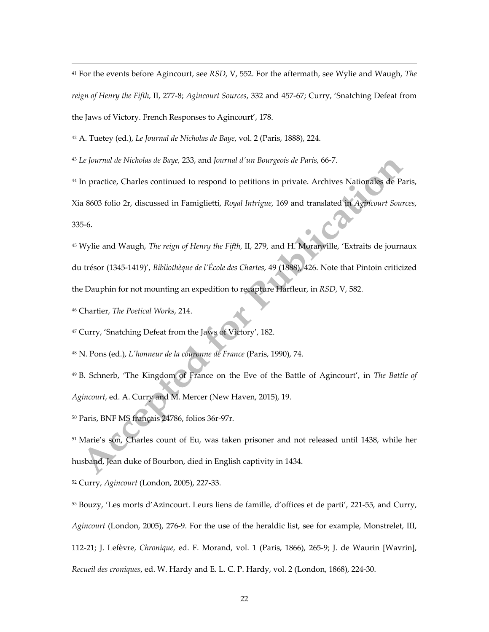<sup>41</sup> For the events before Agincourt, see *RSD*, V, 552. For the aftermath, see Wylie and Waugh, *The reign of Henry the Fifth,* II, 277-8; *Agincourt Sources*, 332 and 457-67; Curry, 'Snatching Defeat from the Jaws of Victory. French Responses to Agincourt', 178.

<sup>42</sup> A. Tuetey (ed.), *Le Journal de Nicholas de Baye*, vol. 2 (Paris, 1888), 224.

<sup>43</sup> *Le Journal de Nicholas de Baye,* 233, and *Journal d'un Bourgeois de Paris,* 66-7.

<sup>44</sup> In practice, Charles continued to respond to petitions in private. Archives Nationales de Paris, Xia 8603 folio 2r, discussed in Famiglietti, *Royal Intrigue*, 169 and translated in *Agincourt Sources*, 335-6.

<sup>45</sup> Wylie and Waugh, *The reign of Henry the Fifth,* II, 279, and H. Moranville, 'Extraits de journaux du trésor (1345-1419)', *Bibliothèque de l'École des Chartes*, 49 (1888), 426. Note that Pintoin criticized the Dauphin for not mounting an expedition to recapture Harfleur, in *RSD*, V, 582.

<sup>46</sup> Chartier, *The Poetical Works*, 214.

 $\overline{a}$ 

<sup>47</sup> Curry, 'Snatching Defeat from the Jaws of Victory', 182.

<sup>48</sup> N. Pons (ed.), *L'honneur de la couronne de France* (Paris, 1990), 74.

<sup>49</sup> B. Schnerb, 'The Kingdom of France on the Eve of the Battle of Agincourt', in *The Battle of Agincourt*, ed. A. Curry and M. Mercer (New Haven, 2015), 19.

<sup>50</sup> Paris, BNF MS français 24786, folios 36r-97r.

<sup>51</sup> Marie's son, Charles count of Eu, was taken prisoner and not released until 1438, while her husband, Jean duke of Bourbon, died in English captivity in 1434.

<sup>52</sup> Curry, *Agincourt* (London, 2005), 227-33.

<sup>53</sup> Bouzy, 'Les morts d'Azincourt. Leurs liens de famille, d'offices et de parti', 221-55, and Curry, *Agincourt* (London, 2005), 276-9. For the use of the heraldic list, see for example, Monstrelet, III, 112-21; J. Lefèvre, *Chronique*, ed. F. Morand, vol. 1 (Paris, 1866), 265-9; J. de Waurin [Wavrin], *Recueil des croniques*, ed. W. Hardy and E. L. C. P. Hardy, vol. 2 (London, 1868), 224-30.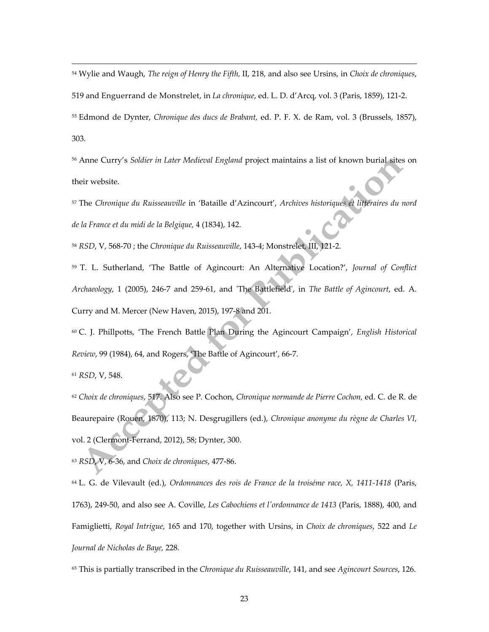<sup>54</sup> Wylie and Waugh, *The reign of Henry the Fifth,* II, 218, and also see Ursins, in *Choix de chroniques*,

519 and Enguerrand de Monstrelet, in *La chronique*, ed. L. D. d'Arcq, vol. 3 (Paris, 1859), 121-2.

<sup>55</sup> Edmond de Dynter, *Chronique des ducs de Brabant,* ed. P. F. X. de Ram, vol. 3 (Brussels, 1857), 303.

<sup>56</sup> Anne Curry's *Soldier in Later Medieval England* project maintains a list of known burial sites on their website.

<sup>57</sup> The *Chronique du Ruisseauville* in 'Bataille d'Azincourt', *Archives historiques et littéraires du nord de la France et du midi de la Belgique,* 4 (1834), 142.

<sup>58</sup> *RSD*, V, 568-70 ; the *Chronique du Ruisseauville*, 143-4; Monstrelet, III, 121-2.

<sup>59</sup> T. L. Sutherland, 'The Battle of Agincourt: An Alternative Location?', *Journal of Conflict Archaeology*, 1 (2005), 246-7 and 259-61, and 'The Battlefield', in *The Battle of Agincourt*, ed. A. Curry and M. Mercer (New Haven, 2015), 197-8 and 201.

<sup>60</sup> C. J. Phillpotts, 'The French Battle Plan During the Agincourt Campaign', *English Historical Review*, 99 (1984), 64, and Rogers, 'The Battle of Agincourt', 66-7.

<sup>61</sup> *RSD*, V, 548.

 $\overline{a}$ 

<sup>62</sup> *Choix de chroniques*, 517. Also see P. Cochon, *Chronique normande de Pierre Cochon,* ed. C. de R. de Beaurepaire (Rouen, 1870), 113; N. Desgrugillers (ed.), *Chronique anonyme du règne de Charles VI*, vol. 2 (Clermont-Ferrand, 2012), 58; Dynter, 300.

<sup>63</sup> *RSD*, V, 6-36, and *Choix de chroniques*, 477-86.

<sup>64</sup> L. G. de Vilevault (ed.), *Ordonnances des rois de France de la troiséme race, X, 1411-1418* (Paris, 1763), 249-50, and also see A. Coville, *Les Cabochiens et l'ordonnance de 1413* (Paris, 1888), 400, and Famiglietti, *Royal Intrigue*, 165 and 170, together with Ursins, in *Choix de chroniques*, 522 and *Le Journal de Nicholas de Baye,* 228.

<sup>65</sup> This is partially transcribed in the *Chronique du Ruisseauville*, 141, and see *Agincourt Sources*, 126.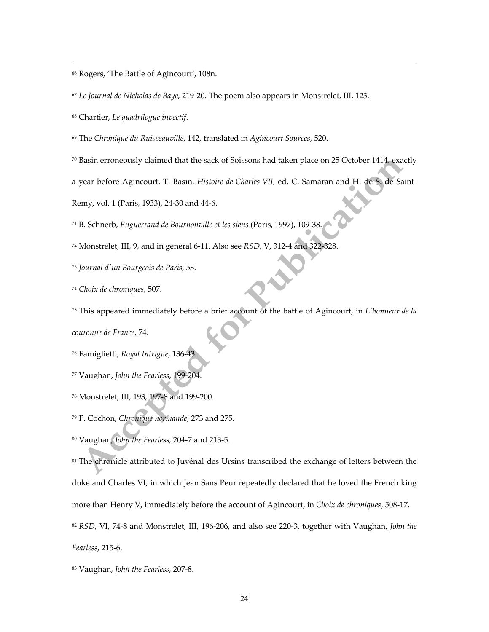Rogers, 'The Battle of Agincourt', 108n.

*Le Journal de Nicholas de Baye,* 219-20. The poem also appears in Monstrelet, III, 123.

Chartier, *Le quadrilogue invectif*.

 $\overline{a}$ 

The *Chronique du Ruisseauville*, 142, translated in *Agincourt Sources*, 520.

Basin erroneously claimed that the sack of Soissons had taken place on 25 October 1414, exactly

a year before Agincourt. T. Basin, *Histoire de Charles VII*, ed. C. Samaran and H. de S. de Saint-

Remy, vol. 1 (Paris, 1933), 24-30 and 44-6.

B. Schnerb, *Enguerrand de Bournonville et les siens* (Paris, 1997), 109-38.

Monstrelet, III, 9, and in general 6-11. Also see *RSD*, V, 312-4 and 322-328.

*Journal d'un Bourgeois de Paris,* 53.

*Choix de chroniques*, 507.

This appeared immediately before a brief account of the battle of Agincourt, in *L'honneur de la* 

*couronne de France*, 74.

Famiglietti, *Royal Intrigue*, 136-43.

Vaughan, *John the Fearless*, 199-204.

Monstrelet, III, 193, 197-8 and 199-200.

P. Cochon, *Chronique normande*, 273 and 275.

Vaughan, *John the Fearless*, 204-7 and 213-5.

<sup>81</sup> The chronicle attributed to Juvénal des Ursins transcribed the exchange of letters between the duke and Charles VI, in which Jean Sans Peur repeatedly declared that he loved the French king more than Henry V, immediately before the account of Agincourt, in *Choix de chroniques*, 508-17.

 *RSD*, VI, 74-8 and Monstrelet, III, 196-206, and also see 220-3, together with Vaughan, *John the Fearless*, 215-6.

Vaughan, *John the Fearless*, 207-8.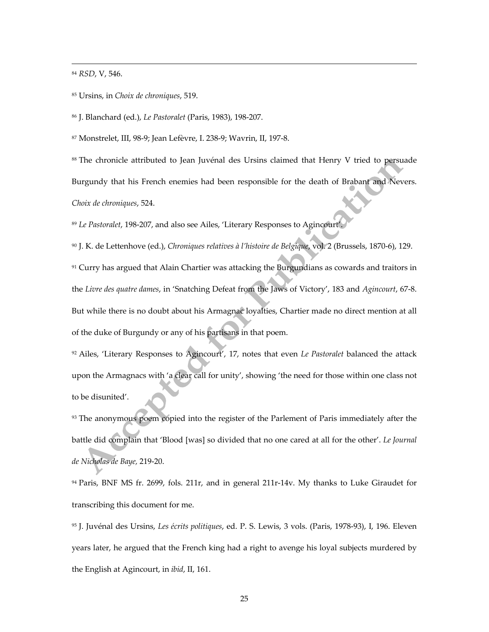<sup>84</sup> *RSD*, V, 546.

 $\overline{a}$ 

<sup>85</sup> Ursins, in *Choix de chroniques*, 519.

<sup>86</sup> J. Blanchard (ed.), *Le Pastoralet* (Paris, 1983), 198-207.

<sup>87</sup> Monstrelet, III, 98-9; Jean Lefèvre, I. 238-9; Wavrin, II, 197-8.

<sup>88</sup> The chronicle attributed to Jean Juvénal des Ursins claimed that Henry V tried to persuade Burgundy that his French enemies had been responsible for the death of Brabant and Nevers. *Choix de chroniques*, 524.

<sup>89</sup> *Le Pastoralet*, 198-207, and also see Ailes, 'Literary Responses to Agincourt'.

<sup>90</sup> J. K. de Lettenhove (ed.), *Chroniques relatives à l'histoire de Belgique*, vol. 2 (Brussels, 1870-6), 129.  $91$  Curry has argued that Alain Chartier was attacking the Burgundians as cowards and traitors in the *Livre des quatre dames*, in 'Snatching Defeat from the Jaws of Victory', 183 and *Agincourt*, 67-8. But while there is no doubt about his Armagnac loyalties, Chartier made no direct mention at all of the duke of Burgundy or any of his partisans in that poem.

<sup>92</sup> Ailes, 'Literary Responses to Agincourt', 17, notes that even *Le Pastoralet* balanced the attack upon the Armagnacs with 'a clear call for unity', showing 'the need for those within one class not to be disunited'.

<sup>93</sup> The anonymous poem copied into the register of the Parlement of Paris immediately after the battle did complain that 'Blood [was] so divided that no one cared at all for the other'. *Le Journal de Nicholas de Baye,* 219-20.

94 Paris, BNF MS fr. 2699, fols. 211r, and in general 211r-14v. My thanks to Luke Giraudet for transcribing this document for me.

<sup>95</sup> J. Juvénal des Ursins, *Les écrits politiques*, ed. P. S. Lewis, 3 vols. (Paris, 1978-93), I, 196. Eleven years later, he argued that the French king had a right to avenge his loyal subjects murdered by the English at Agincourt, in *ibid*, II, 161.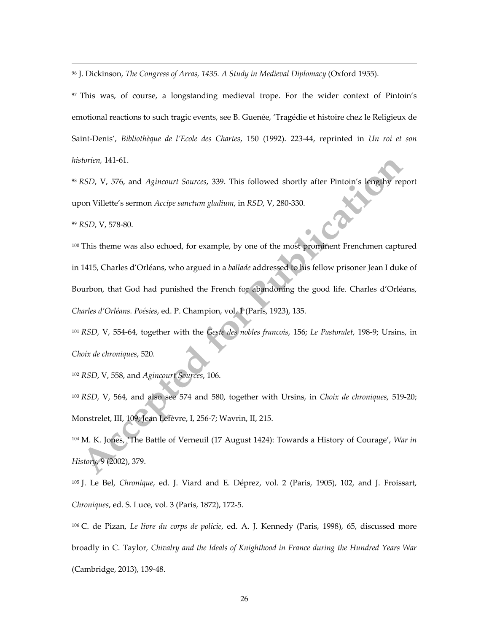<sup>96</sup> J. Dickinson, *The Congress of Arras, 1435. A Study in Medieval Diplomacy* (Oxford 1955).

<sup>97</sup> This was, of course, a longstanding medieval trope. For the wider context of Pintoin's emotional reactions to such tragic events, see B. Guenée, 'Tragédie et histoire chez le Religieux de Saint-Denis', *Bibliothèque de l'Ecole des Chartes*, 150 (1992). 223-44, reprinted in *Un roi et son historien,* 141-61.

<sup>98</sup> *RSD*, V, 576, and *Agincourt Sources*, 339. This followed shortly after Pintoin's lengthy report upon Villette's sermon *Accipe sanctum gladium*, in *RSD*, V, 280-330.

<sup>99</sup> *RSD*, V, 578-80.

 $\overline{a}$ 

100 This theme was also echoed, for example, by one of the most prominent Frenchmen captured in 1415, Charles d'Orléans, who argued in a *ballade* addressed to his fellow prisoner Jean I duke of Bourbon, that God had punished the French for abandoning the good life. Charles d'Orléans, *Charles d'Orléans. Poésies*, ed. P. Champion, vol. 1 (Paris, 1923), 135.

<sup>101</sup> *RSD*, V, 554-64, together with the *Geste des nobles francois*, 156; *Le Pastoralet*, 198-9; Ursins, in *Choix de chroniques*, 520.

<sup>102</sup> *RSD*, V, 558, and *Agincourt Sources*, 106.

<sup>103</sup> *RSD*, V, 564, and also see 574 and 580, together with Ursins, in *Choix de chroniques*, 519-20; Monstrelet, III, 109; Jean Lefèvre, I, 256-7; Wavrin, II, 215.

<sup>104</sup> M. K. Jones, 'The Battle of Verneuil (17 August 1424): Towards a History of Courage', *War in History*, 9 (2002), 379.

<sup>105</sup> J. Le Bel, *Chronique*, ed. J. Viard and E. Déprez, vol. 2 (Paris, 1905), 102, and J. Froissart, *Chroniques*, ed. S. Luce, vol. 3 (Paris, 1872), 172-5.

<sup>106</sup> C. de Pizan, *Le livre du corps de policie*, ed. A. J. Kennedy (Paris, 1998), 65, discussed more broadly in C. Taylor, *Chivalry and the Ideals of Knighthood in France during the Hundred Years War*  (Cambridge, 2013), 139-48.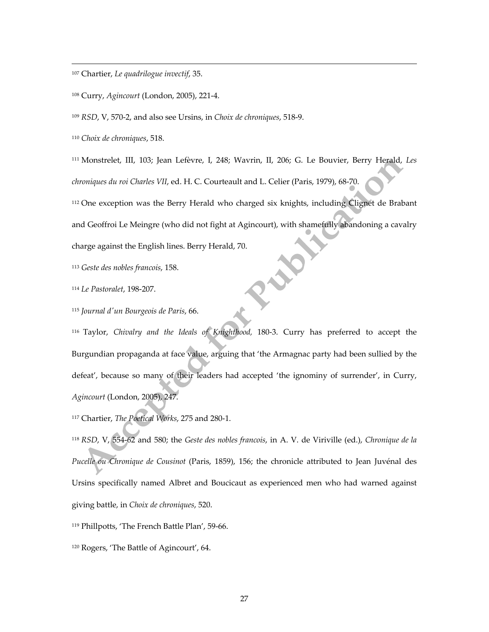<sup>107</sup> Chartier, *Le quadrilogue invectif*, 35.

<sup>108</sup> Curry, *Agincourt* (London, 2005), 221-4.

<sup>109</sup> *RSD*, V, 570-2, and also see Ursins, in *Choix de chroniques*, 518-9.

<sup>110</sup> *Choix de chroniques*, 518.

 $\overline{a}$ 

<sup>111</sup> Monstrelet, III, 103; Jean Lefèvre, I, 248; Wavrin, II, 206; G. Le Bouvier, Berry Herald, *Les chroniques du roi Charles VII*, ed. H. C. Courteault and L. Celier (Paris, 1979), 68-70.

<sup>112</sup> One exception was the Berry Herald who charged six knights, including Clignet de Brabant

and Geoffroi Le Meingre (who did not fight at Agincourt), with shamefully abandoning a cavalry

charge against the English lines. Berry Herald, 70.

<sup>113</sup> *Geste des nobles francois*, 158.

<sup>114</sup> *Le Pastoralet*, 198-207.

<sup>115</sup> *Journal d'un Bourgeois de Paris*, 66.

<sup>116</sup> Taylor, *Chivalry and the Ideals of Knighthood,* 180-3. Curry has preferred to accept the Burgundian propaganda at face value, arguing that 'the Armagnac party had been sullied by the defeat', because so many of their leaders had accepted 'the ignominy of surrender', in Curry, *Agincourt* (London, 2005), 247.

<sup>117</sup> Chartier, *The Poetical Works*, 275 and 280-1.

<sup>118</sup> *RSD*, V, 554-62 and 580; the *Geste des nobles francois*, in A. V. de Viriville (ed.), *Chronique de la Pucelle ou Chronique de Cousinot* (Paris, 1859), 156; the chronicle attributed to Jean Juvénal des Ursins specifically named Albret and Boucicaut as experienced men who had warned against giving battle, in *Choix de chroniques*, 520.

<sup>119</sup> Phillpotts, 'The French Battle Plan', 59-66.

<sup>120</sup> Rogers, 'The Battle of Agincourt', 64.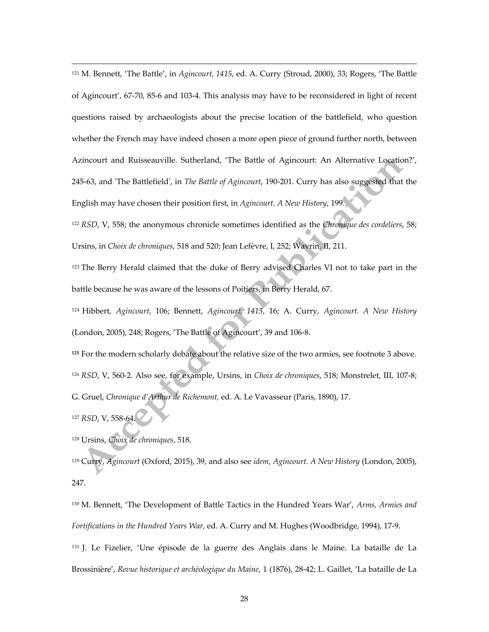<sup>121</sup> M. Bennett, 'The Battle', in *Agincourt, 1415*, ed. A. Curry (Stroud, 2000), 33; Rogers, 'The Battle of Agincourt', 67-70, 85-6 and 103-4. This analysis may have to be reconsidered in light of recent questions raised by archaeologists about the precise location of the battlefield, who question whether the French may have indeed chosen a more open piece of ground further north, between Azincourt and Ruisseauville. Sutherland, 'The Battle of Agincourt: An Alternative Location?', 245-63, and 'The Battlefield', in *The Battle of Agincourt*, 190-201. Curry has also suggested that the English may have chosen their position first, in *Agincourt. A New History*, 199.

<sup>122</sup> *RSD*, V, 558; the anonymous chronicle sometimes identified as the *Chronique des cordeliers*, 58; Ursins, in *Choix de chroniques*, 518 and 520; Jean Lefèvre, I, 252; Wavrin, II, 211.

<sup>123</sup> The Berry Herald claimed that the duke of Berry advised Charles VI not to take part in the battle because he was aware of the lessons of Poitiers, in Berry Herald, 67.

<sup>124</sup> Hibbert, *Agincourt*, 106; Bennett, *Agincourt, 1415*, 16; A. Curry, *Agincourt. A New History* (London, 2005), 248; Rogers, 'The Battle of Agincourt', 39 and 106-8.

**<sup>125</sup>** For the modern scholarly debate about the relative size of the two armies, see footnote 3 above. <sup>126</sup> *RSD*, V, 560-2. Also see, for example, Ursins, in *Choix de chroniques*, 518; Monstrelet, III, 107-8; G. Gruel, *Chronique d'Arthur de Richemont,* ed. A. Le Vavasseur (Paris, 1890), 17.

<sup>127</sup> *RSD*, V, 558-64.

 $\overline{a}$ 

<sup>128</sup> Ursins, *Choix de chroniques*, 518.

<sup>129</sup> Curry, *Agincourt* (Oxford, 2015), 39, and also see *idem*, *Agincourt. A New History* (London, 2005), 247.

<sup>130</sup> M. Bennett, 'The Development of Battle Tactics in the Hundred Years War', *Arms, Armies and Fortifications in the Hundred Years War*, ed. A. Curry and M. Hughes (Woodbridge, 1994), 17-9. <sup>131</sup> J. Le Fizelier, 'Une épisode de la guerre des Anglais dans le Maine. La bataille de La

Brossinière', *Revue historique et archéologique du Maine*, 1 (1876), 28-42; L. Gaillet, 'La bataille de La